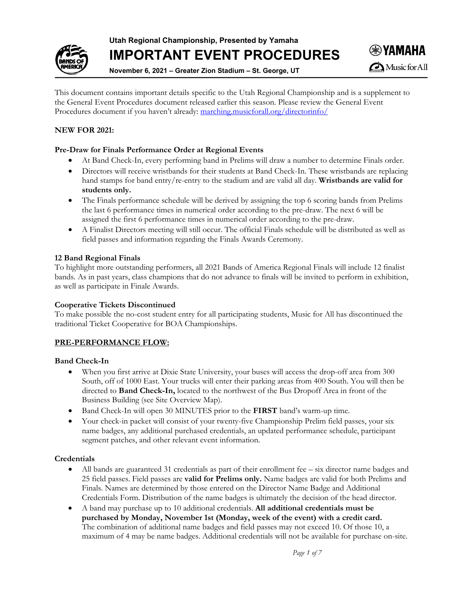**Utah Regional Championship, Presented by Yamaha**



**IMPORTANT EVENT PROCEDURES**

**November 6, 2021 – Greater Zion Stadium – St. George, UT**

This document contains important details specific to the Utah Regional Championship and is a supplement to the General Event Procedures document released earlier this season. Please review the General Event Procedures document if you haven't already: [marching.musicforall.org/directorinfo/](https://marching.musicforall.org/directorinfo/)

## **NEW FOR 2021:**

### **Pre-Draw for Finals Performance Order at Regional Events**

- At Band Check-In, every performing band in Prelims will draw a number to determine Finals order.
- Directors will receive wristbands for their students at Band Check-In. These wristbands are replacing hand stamps for band entry/re-entry to the stadium and are valid all day. **Wristbands are valid for students only.**
- The Finals performance schedule will be derived by assigning the top 6 scoring bands from Prelims the last 6 performance times in numerical order according to the pre-draw. The next 6 will be assigned the first 6 performance times in numerical order according to the pre-draw.
- A Finalist Directors meeting will still occur. The official Finals schedule will be distributed as well as field passes and information regarding the Finals Awards Ceremony.

#### **12 Band Regional Finals**

To highlight more outstanding performers, all 2021 Bands of America Regional Finals will include 12 finalist bands. As in past years, class champions that do not advance to finals will be invited to perform in exhibition, as well as participate in Finale Awards.

#### **Cooperative Tickets Discontinued**

To make possible the no-cost student entry for all participating students, Music for All has discontinued the traditional Ticket Cooperative for BOA Championships.

## **PRE-PERFORMANCE FLOW:**

#### **Band Check-In**

- When you first arrive at Dixie State University, your buses will access the drop-off area from 300 South, off of 1000 East. Your trucks will enter their parking areas from 400 South. You will then be directed to **Band Check-In,** located to the northwest of the Bus Dropoff Area in front of the Business Building (see Site Overview Map).
- Band Check-In will open 30 MINUTES prior to the **FIRST** band's warm-up time.
- Your check-in packet will consist of your twenty-five Championship Prelim field passes, your six name badges, any additional purchased credentials, an updated performance schedule, participant segment patches, and other relevant event information.

## **Credentials**

- All bands are guaranteed 31 credentials as part of their enrollment fee six director name badges and 25 field passes. Field passes are **valid for Prelims only.** Name badges are valid for both Prelims and Finals. Names are determined by those entered on the Director Name Badge and Additional Credentials Form. Distribution of the name badges is ultimately the decision of the head director.
- A band may purchase up to 10 additional credentials. **All additional credentials must be purchased by Monday, November 1st (Monday, week of the event) with a credit card.** The combination of additional name badges and field passes may not exceed 10. Of those 10, a maximum of 4 may be name badges. Additional credentials will not be available for purchase on-site.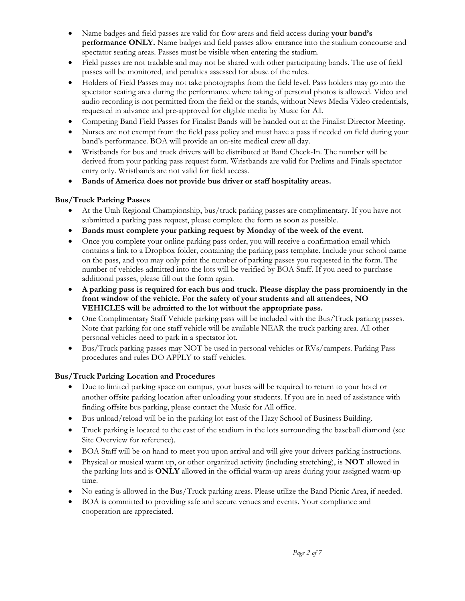- Name badges and field passes are valid for flow areas and field access during **your band's performance ONLY.** Name badges and field passes allow entrance into the stadium concourse and spectator seating areas. Passes must be visible when entering the stadium.
- Field passes are not tradable and may not be shared with other participating bands. The use of field passes will be monitored, and penalties assessed for abuse of the rules.
- Holders of Field Passes may not take photographs from the field level. Pass holders may go into the spectator seating area during the performance where taking of personal photos is allowed. Video and audio recording is not permitted from the field or the stands, without News Media Video credentials, requested in advance and pre-approved for eligible media by Music for All.
- Competing Band Field Passes for Finalist Bands will be handed out at the Finalist Director Meeting.
- Nurses are not exempt from the field pass policy and must have a pass if needed on field during your band's performance. BOA will provide an on-site medical crew all day.
- Wristbands for bus and truck drivers will be distributed at Band Check-In. The number will be derived from your parking pass request form. Wristbands are valid for Prelims and Finals spectator entry only. Wristbands are not valid for field access.
- **Bands of America does not provide bus driver or staff hospitality areas.**

### **Bus/Truck Parking Passes**

- At the Utah Regional Championship, bus/truck parking passes are complimentary. If you have not submitted a parking pass request, please complete the form as soon as possible.
- **Bands must complete your parking request by Monday of the week of the event**.
- Once you complete your online parking pass order, you will receive a confirmation email which contains a link to a Dropbox folder, containing the parking pass template. Include your school name on the pass, and you may only print the number of parking passes you requested in the form. The number of vehicles admitted into the lots will be verified by BOA Staff. If you need to purchase additional passes, please fill out the form again.
- **A parking pass is required for each bus and truck. Please display the pass prominently in the front window of the vehicle. For the safety of your students and all attendees, NO VEHICLES will be admitted to the lot without the appropriate pass.**
- One Complimentary Staff Vehicle parking pass will be included with the Bus/Truck parking passes. Note that parking for one staff vehicle will be available NEAR the truck parking area. All other personal vehicles need to park in a spectator lot.
- Bus/Truck parking passes may NOT be used in personal vehicles or RVs/campers. Parking Pass procedures and rules DO APPLY to staff vehicles.

## **Bus/Truck Parking Location and Procedures**

- Due to limited parking space on campus, your buses will be required to return to your hotel or another offsite parking location after unloading your students. If you are in need of assistance with finding offsite bus parking, please contact the Music for All office.
- Bus unload/reload will be in the parking lot east of the Hazy School of Business Building.
- Truck parking is located to the east of the stadium in the lots surrounding the baseball diamond (see Site Overview for reference).
- BOA Staff will be on hand to meet you upon arrival and will give your drivers parking instructions.
- Physical or musical warm up, or other organized activity (including stretching), is **NOT** allowed in the parking lots and is **ONLY** allowed in the official warm-up areas during your assigned warm-up time.
- No eating is allowed in the Bus/Truck parking areas. Please utilize the Band Picnic Area, if needed.
- BOA is committed to providing safe and secure venues and events. Your compliance and cooperation are appreciated.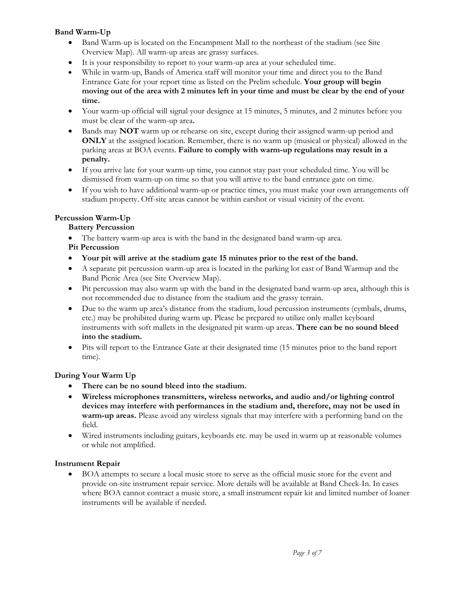## **Band Warm-Up**

- Band Warm-up is located on the Encampment Mall to the northeast of the stadium (see Site Overview Map). All warm-up areas are grassy surfaces.
- It is your responsibility to report to your warm-up area at your scheduled time.
- While in warm-up, Bands of America staff will monitor your time and direct you to the Band Entrance Gate for your report time as listed on the Prelim schedule. **Your group will begin moving out of the area with 2 minutes left in your time and must be clear by the end of your time.**
- Your warm-up official will signal your designee at 15 minutes, 5 minutes, and 2 minutes before you must be clear of the warm-up area**.**
- Bands may **NOT** warm up or rehearse on site, except during their assigned warm-up period and **ONLY** at the assigned location. Remember, there is no warm up (musical or physical) allowed in the parking areas at BOA events. **Failure to comply with warm-up regulations may result in a penalty.**
- If you arrive late for your warm-up time, you cannot stay past your scheduled time. You will be dismissed from warm-up on time so that you will arrive to the band entrance gate on time.
- If you wish to have additional warm-up or practice times, you must make your own arrangements off stadium property. Off-site areas cannot be within earshot or visual vicinity of the event.

### **Percussion Warm-Up**

### **Battery Percussion**

- The battery warm-up area is with the band in the designated band warm-up area.
- **Pit Percussion**
- **Your pit will arrive at the stadium gate 15 minutes prior to the rest of the band.**
- A separate pit percussion warm-up area is located in the parking lot east of Band Warmup and the Band Picnic Area (see Site Overview Map).
- Pit percussion may also warm up with the band in the designated band warm-up area, although this is not recommended due to distance from the stadium and the grassy terrain.
- Due to the warm up area's distance from the stadium, loud percussion instruments (cymbals, drums, etc.) may be prohibited during warm up. Please be prepared to utilize only mallet keyboard instruments with soft mallets in the designated pit warm-up areas. **There can be no sound bleed into the stadium.**
- Pits will report to the Entrance Gate at their designated time (15 minutes prior to the band report time).

## **During Your Warm Up**

- **There can be no sound bleed into the stadium.**
- **Wireless microphones transmitters, wireless networks, and audio and/or lighting control devices may interfere with performances in the stadium and, therefore, may not be used in warm-up areas.** Please avoid any wireless signals that may interfere with a performing band on the field.
- Wired instruments including guitars, keyboards etc. may be used in warm up at reasonable volumes or while not amplified.

#### **Instrument Repair**

• BOA attempts to secure a local music store to serve as the official music store for the event and provide on-site instrument repair service. More details will be available at Band Check-In. In cases where BOA cannot contract a music store, a small instrument repair kit and limited number of loaner instruments will be available if needed.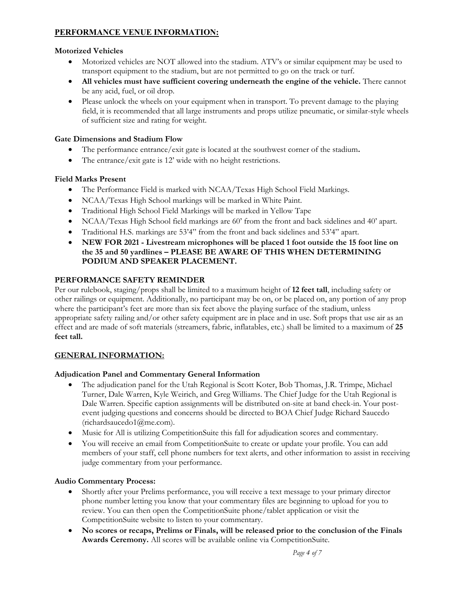# **PERFORMANCE VENUE INFORMATION:**

### **Motorized Vehicles**

- Motorized vehicles are NOT allowed into the stadium. ATV's or similar equipment may be used to transport equipment to the stadium, but are not permitted to go on the track or turf.
- **All vehicles must have sufficient covering underneath the engine of the vehicle.** There cannot be any acid, fuel, or oil drop.
- Please unlock the wheels on your equipment when in transport. To prevent damage to the playing field, it is recommended that all large instruments and props utilize pneumatic, or similar-style wheels of sufficient size and rating for weight.

#### **Gate Dimensions and Stadium Flow**

- The performance entrance/exit gate is located at the southwest corner of the stadium**.**
- The entrance/exit gate is 12' wide with no height restrictions.

### **Field Marks Present**

- The Performance Field is marked with NCAA/Texas High School Field Markings.
- NCAA/Texas High School markings will be marked in White Paint.
- Traditional High School Field Markings will be marked in Yellow Tape
- NCAA/Texas High School field markings are 60' from the front and back sidelines and 40' apart.
- Traditional H.S. markings are 53'4" from the front and back sidelines and 53'4" apart.
- **NEW FOR 2021 - Livestream microphones will be placed 1 foot outside the 15 foot line on the 35 and 50 yardlines – PLEASE BE AWARE OF THIS WHEN DETERMINING PODIUM AND SPEAKER PLACEMENT.**

### **PERFORMANCE SAFETY REMINDER**

Per our rulebook, staging/props shall be limited to a maximum height of **12 feet tall**, including safety or other railings or equipment. Additionally, no participant may be on, or be placed on, any portion of any prop where the participant's feet are more than six feet above the playing surface of the stadium, unless appropriate safety railing and/or other safety equipment are in place and in use. Soft props that use air as an effect and are made of soft materials (streamers, fabric, inflatables, etc.) shall be limited to a maximum of **25 feet tall.**

#### **GENERAL INFORMATION:**

#### **Adjudication Panel and Commentary General Information**

- The adjudication panel for the Utah Regional is Scott Koter, Bob Thomas, J.R. Trimpe, Michael Turner, Dale Warren, Kyle Weirich, and Greg Williams. The Chief Judge for the Utah Regional is Dale Warren. Specific caption assignments will be distributed on-site at band check-in. Your postevent judging questions and concerns should be directed to BOA Chief Judge Richard Saucedo (richardsaucedo1@me.com).
- Music for All is utilizing CompetitionSuite this fall for adjudication scores and commentary.
- You will receive an email from CompetitionSuite to create or update your profile. You can add members of your staff, cell phone numbers for text alerts, and other information to assist in receiving judge commentary from your performance.

#### **Audio Commentary Process:**

- Shortly after your Prelims performance, you will receive a text message to your primary director phone number letting you know that your commentary files are beginning to upload for you to review. You can then open the CompetitionSuite phone/tablet application or visit the CompetitionSuite website to listen to your commentary.
- **No scores or recaps, Prelims or Finals, will be released prior to the conclusion of the Finals Awards Ceremony.** All scores will be available online via CompetitionSuite.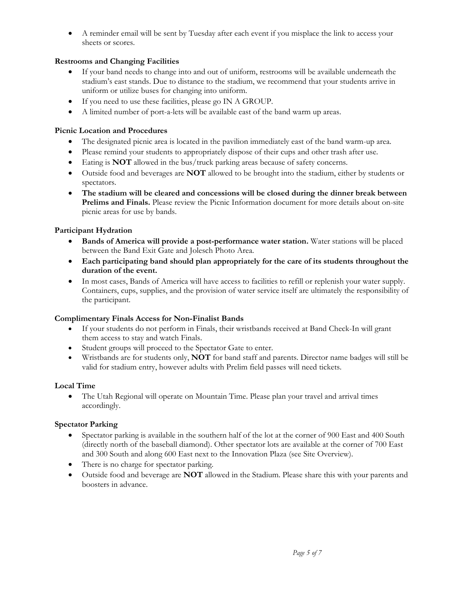• A reminder email will be sent by Tuesday after each event if you misplace the link to access your sheets or scores.

## **Restrooms and Changing Facilities**

- If your band needs to change into and out of uniform, restrooms will be available underneath the stadium's east stands. Due to distance to the stadium, we recommend that your students arrive in uniform or utilize buses for changing into uniform.
- If you need to use these facilities, please go IN A GROUP.
- A limited number of port-a-lets will be available east of the band warm up areas.

## **Picnic Location and Procedures**

- The designated picnic area is located in the pavilion immediately east of the band warm-up area.
- Please remind your students to appropriately dispose of their cups and other trash after use.
- Eating is **NOT** allowed in the bus/truck parking areas because of safety concerns.
- Outside food and beverages are **NOT** allowed to be brought into the stadium, either by students or spectators.
- **The stadium will be cleared and concessions will be closed during the dinner break between Prelims and Finals.** Please review the Picnic Information document for more details about on-site picnic areas for use by bands.

## **Participant Hydration**

- **Bands of America will provide a post-performance water station.** Water stations will be placed between the Band Exit Gate and Jolesch Photo Area.
- **Each participating band should plan appropriately for the care of its students throughout the duration of the event.**
- In most cases, Bands of America will have access to facilities to refill or replenish your water supply. Containers, cups, supplies, and the provision of water service itself are ultimately the responsibility of the participant.

## **Complimentary Finals Access for Non-Finalist Bands**

- If your students do not perform in Finals, their wristbands received at Band Check-In will grant them access to stay and watch Finals.
- Student groups will proceed to the Spectator Gate to enter.
- Wristbands are for students only, **NOT** for band staff and parents. Director name badges will still be valid for stadium entry, however adults with Prelim field passes will need tickets.

# **Local Time**

• The Utah Regional will operate on Mountain Time. Please plan your travel and arrival times accordingly.

# **Spectator Parking**

- Spectator parking is available in the southern half of the lot at the corner of 900 East and 400 South (directly north of the baseball diamond). Other spectator lots are available at the corner of 700 East and 300 South and along 600 East next to the Innovation Plaza (see Site Overview).
- There is no charge for spectator parking.
- Outside food and beverage are **NOT** allowed in the Stadium. Please share this with your parents and boosters in advance.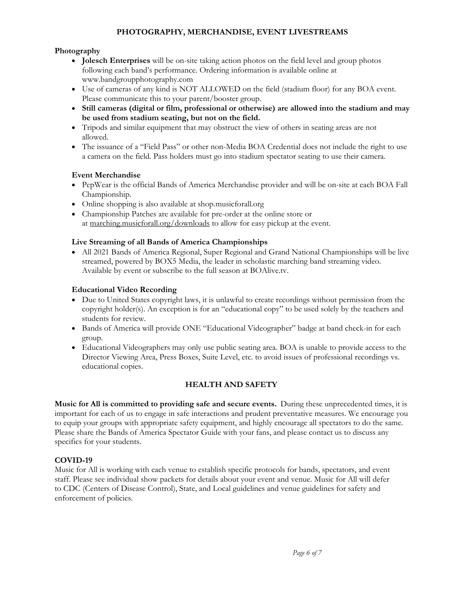## **PHOTOGRAPHY, MERCHANDISE, EVENT LIVESTREAMS**

### **Photography**

- **Jolesch Enterprises** will be on-site taking action photos on the field level and group photos following each band's performance. Ordering information is available online at www.bandgroupphotography.com
- Use of cameras of any kind is NOT ALLOWED on the field (stadium floor) for any BOA event. Please communicate this to your parent/booster group.
- **Still cameras (digital or film, professional or otherwise) are allowed into the stadium and may be used from stadium seating, but not on the field.**
- Tripods and similar equipment that may obstruct the view of others in seating areas are not allowed.
- The issuance of a "Field Pass" or other non-Media BOA Credential does not include the right to use a camera on the field. Pass holders must go into stadium spectator seating to use their camera.

#### **Event Merchandise**

- PepWear is the official Bands of America Merchandise provider and will be on-site at each BOA Fall Championship.
- Online shopping is also available at shop.musicforall.org
- Championship Patches are available for pre-order at the online store or at [marching.musicforall.org/downloads](http://marching.musicforall.org/downloads) to allow for easy pickup at the event.

## **Live Streaming of all Bands of America Championships**

• All 2021 Bands of America Regional, Super Regional and Grand National Championships will be live streamed, powered by BOX5 Media, the leader in scholastic marching band streaming video. Available by event or subscribe to the full season at BOAlive.tv.

### **Educational Video Recording**

- Due to United States copyright laws, it is unlawful to create recordings without permission from the copyright holder(s). An exception is for an "educational copy" to be used solely by the teachers and students for review.
- Bands of America will provide ONE "Educational Videographer" badge at band check-in for each group.
- Educational Videographers may only use public seating area. BOA is unable to provide access to the Director Viewing Area, Press Boxes, Suite Level, etc. to avoid issues of professional recordings vs. educational copies.

## **HEALTH AND SAFETY**

**Music for All is committed to providing safe and secure events.** During these unprecedented times, it is important for each of us to engage in safe interactions and prudent preventative measures. We encourage you to equip your groups with appropriate safety equipment, and highly encourage all spectators to do the same. Please share the Bands of America Spectator Guide with your fans, and please contact us to discuss any specifics for your students.

## **COVID-19**

Music for All is working with each venue to establish specific protocols for bands, spectators, and event staff. Please see individual show packets for details about your event and venue. Music for All will defer to CDC (Centers of Disease Control), State, and Local guidelines and venue guidelines for safety and enforcement of policies.